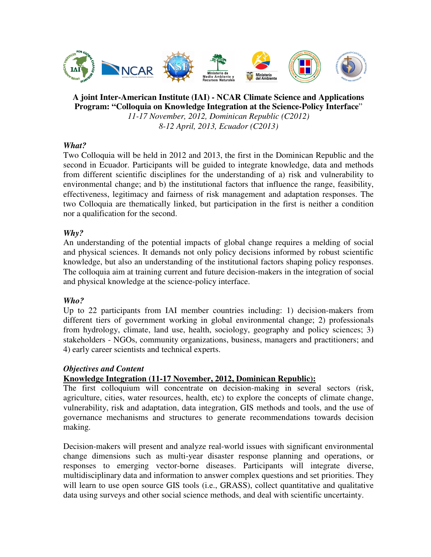

**A joint Inter-American Institute (IAI) - NCAR Climate Science and Applications Program: "Colloquia on Knowledge Integration at the Science-Policy Interface**" *11-17 November, 2012, Dominican Republic (C2012)* 

*8-12 April, 2013, Ecuador (C2013)*

### *What?*

Two Colloquia will be held in 2012 and 2013, the first in the Dominican Republic and the second in Ecuador. Participants will be guided to integrate knowledge, data and methods from different scientific disciplines for the understanding of a) risk and vulnerability to environmental change; and b) the institutional factors that influence the range, feasibility, effectiveness, legitimacy and fairness of risk management and adaptation responses. The two Colloquia are thematically linked, but participation in the first is neither a condition nor a qualification for the second.

# *Why?*

An understanding of the potential impacts of global change requires a melding of social and physical sciences. It demands not only policy decisions informed by robust scientific knowledge, but also an understanding of the institutional factors shaping policy responses. The colloquia aim at training current and future decision-makers in the integration of social and physical knowledge at the science-policy interface.

# *Who?*

Up to 22 participants from IAI member countries including: 1) decision-makers from different tiers of government working in global environmental change; 2) professionals from hydrology, climate, land use, health, sociology, geography and policy sciences; 3) stakeholders - NGOs, community organizations, business, managers and practitioners; and 4) early career scientists and technical experts.

# *Objectives and Content*

# **Knowledge Integration (11-17 November, 2012, Dominican Republic):**

The first colloquium will concentrate on decision-making in several sectors (risk, agriculture, cities, water resources, health, etc) to explore the concepts of climate change, vulnerability, risk and adaptation, data integration, GIS methods and tools, and the use of governance mechanisms and structures to generate recommendations towards decision making.

Decision-makers will present and analyze real-world issues with significant environmental change dimensions such as multi-year disaster response planning and operations, or responses to emerging vector-borne diseases. Participants will integrate diverse, multidisciplinary data and information to answer complex questions and set priorities. They will learn to use open source GIS tools (i.e., GRASS), collect quantitative and qualitative data using surveys and other social science methods, and deal with scientific uncertainty.